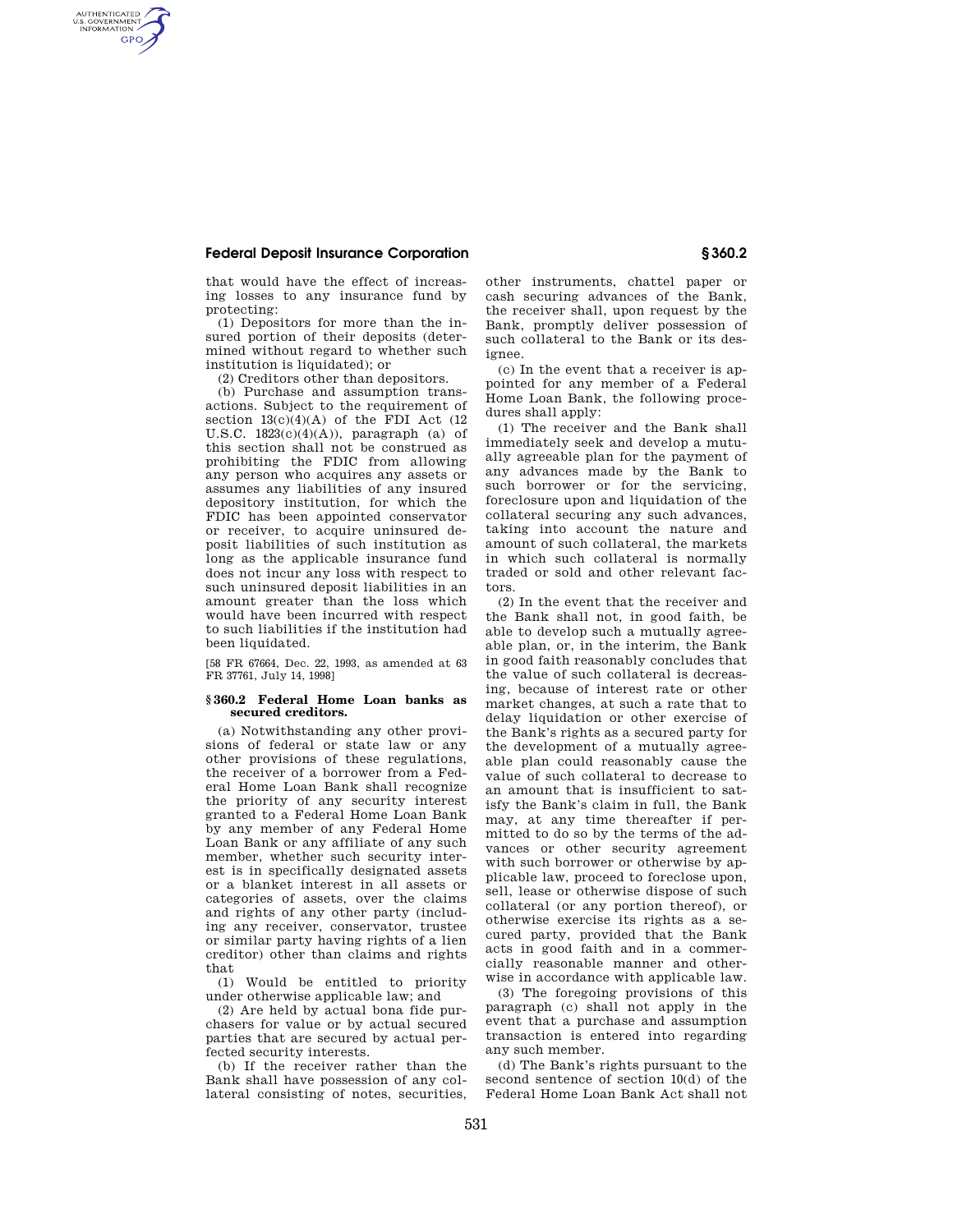## **Federal Deposit Insurance Corporation § 360.2**

AUTHENTICATED<br>U.S. GOVERNMENT<br>INFORMATION **GPO** 

> that would have the effect of increasing losses to any insurance fund by protecting:

> (1) Depositors for more than the insured portion of their deposits (determined without regard to whether such institution is liquidated); or

(2) Creditors other than depositors.

(b) Purchase and assumption transactions. Subject to the requirement of section  $13(c)(4)(A)$  of the FDI Act  $(12)$ U.S.C.  $1823(c)(4)(A)$ , paragraph (a) of this section shall not be construed as prohibiting the FDIC from allowing any person who acquires any assets or assumes any liabilities of any insured depository institution, for which the FDIC has been appointed conservator or receiver, to acquire uninsured deposit liabilities of such institution as long as the applicable insurance fund does not incur any loss with respect to such uninsured deposit liabilities in an amount greater than the loss which would have been incurred with respect to such liabilities if the institution had been liquidated.

[58 FR 67664, Dec. 22, 1993, as amended at 63 FR 37761, July 14, 1998]

## **§ 360.2 Federal Home Loan banks as secured creditors.**

(a) Notwithstanding any other provisions of federal or state law or any other provisions of these regulations, the receiver of a borrower from a Federal Home Loan Bank shall recognize the priority of any security interest granted to a Federal Home Loan Bank by any member of any Federal Home Loan Bank or any affiliate of any such member, whether such security interest is in specifically designated assets or a blanket interest in all assets or categories of assets, over the claims and rights of any other party (including any receiver, conservator, trustee or similar party having rights of a lien creditor) other than claims and rights that

(1) Would be entitled to priority under otherwise applicable law; and

(2) Are held by actual bona fide purchasers for value or by actual secured parties that are secured by actual perfected security interests.

(b) If the receiver rather than the Bank shall have possession of any collateral consisting of notes, securities, other instruments, chattel paper or cash securing advances of the Bank, the receiver shall, upon request by the Bank, promptly deliver possession of such collateral to the Bank or its designee.

(c) In the event that a receiver is appointed for any member of a Federal Home Loan Bank, the following procedures shall apply:

(1) The receiver and the Bank shall immediately seek and develop a mutually agreeable plan for the payment of any advances made by the Bank to such borrower or for the servicing, foreclosure upon and liquidation of the collateral securing any such advances, taking into account the nature and amount of such collateral, the markets in which such collateral is normally traded or sold and other relevant factors.

(2) In the event that the receiver and the Bank shall not, in good faith, be able to develop such a mutually agreeable plan, or, in the interim, the Bank in good faith reasonably concludes that the value of such collateral is decreasing, because of interest rate or other market changes, at such a rate that to delay liquidation or other exercise of the Bank's rights as a secured party for the development of a mutually agreeable plan could reasonably cause the value of such collateral to decrease to an amount that is insufficient to satisfy the Bank's claim in full, the Bank may, at any time thereafter if permitted to do so by the terms of the advances or other security agreement with such borrower or otherwise by applicable law, proceed to foreclose upon, sell, lease or otherwise dispose of such collateral (or any portion thereof), or otherwise exercise its rights as a secured party, provided that the Bank acts in good faith and in a commercially reasonable manner and otherwise in accordance with applicable law.

(3) The foregoing provisions of this paragraph (c) shall not apply in the event that a purchase and assumption transaction is entered into regarding any such member.

(d) The Bank's rights pursuant to the second sentence of section 10(d) of the Federal Home Loan Bank Act shall not